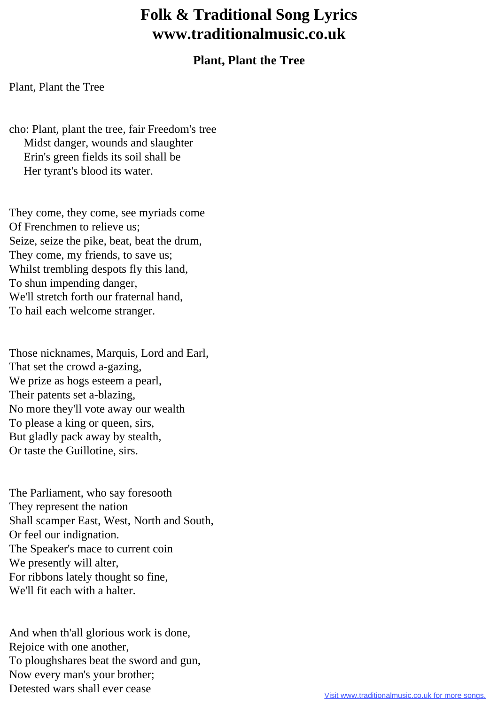## **Folk & Traditional Song Lyrics www.traditionalmusic.co.uk**

## **Plant, Plant the Tree**

Plant, Plant the Tree

cho: Plant, plant the tree, fair Freedom's tree Midst danger, wounds and slaughter Erin's green fields its soil shall be Her tyrant's blood its water.

They come, they come, see myriads come Of Frenchmen to relieve us; Seize, seize the pike, beat, beat the drum, They come, my friends, to save us; Whilst trembling despots fly this land, To shun impending danger, We'll stretch forth our fraternal hand, To hail each welcome stranger.

Those nicknames, Marquis, Lord and Earl, That set the crowd a-gazing, We prize as hogs esteem a pearl, Their patents set a-blazing, No more they'll vote away our wealth To please a king or queen, sirs, But gladly pack away by stealth, Or taste the Guillotine, sirs.

The Parliament, who say foresooth They represent the nation Shall scamper East, West, North and South, Or feel our indignation. The Speaker's mace to current coin We presently will alter, For ribbons lately thought so fine, We'll fit each with a halter.

And when th'all glorious work is done, Rejoice with one another, To ploughshares beat the sword and gun, Now every man's your brother; Detested wars shall ever cease